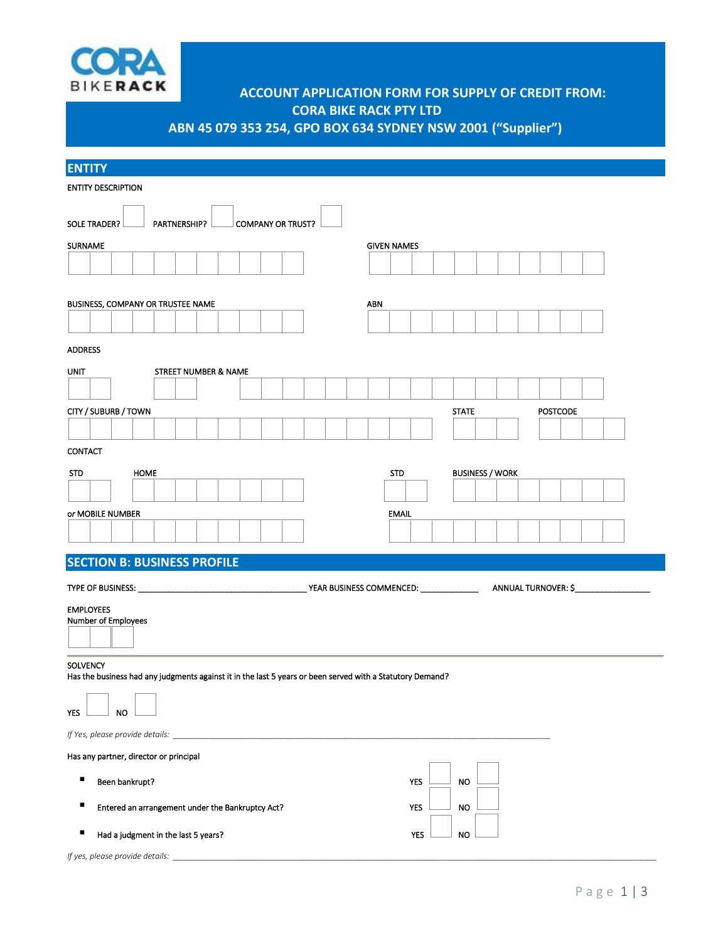

## **ACCOUNT APPLICATION FORM FOR SUPPLY OF CREDIT FROM: CORA BIKE RACK PTY LTD**

**ABN 45 079 353 254, GPO BOX 634 SYDNEY NSW 2001 ("Supplier")**

| <b>ENTITY</b>                                                                                             |                    |                        |                 |
|-----------------------------------------------------------------------------------------------------------|--------------------|------------------------|-----------------|
| <b>ENTITY DESCRIPTION</b>                                                                                 |                    |                        |                 |
|                                                                                                           |                    |                        |                 |
| <b>SOLE TRADER?</b><br>PARTNERSHIP?<br><b>COMPANY OR TRUST?</b>                                           |                    |                        |                 |
| <b>SURNAME</b>                                                                                            | <b>GIVEN NAMES</b> |                        |                 |
|                                                                                                           |                    |                        |                 |
|                                                                                                           |                    |                        |                 |
| BUSINESS, COMPANY OR TRUSTEE NAME                                                                         | ABN                |                        |                 |
|                                                                                                           |                    |                        |                 |
| <b>ADDRESS</b>                                                                                            |                    |                        |                 |
| <b>UNIT</b><br>STREET NUMBER & NAME                                                                       |                    |                        |                 |
|                                                                                                           |                    |                        |                 |
| CITY / SUBURB / TOWN                                                                                      |                    | <b>STATE</b>           | <b>POSTCODE</b> |
|                                                                                                           |                    |                        |                 |
| <b>CONTACT</b>                                                                                            |                    |                        |                 |
| <b>HOME</b><br><b>STD</b>                                                                                 | <b>STD</b>         | <b>BUSINESS / WORK</b> |                 |
|                                                                                                           |                    |                        |                 |
| or MOBILE NUMBER                                                                                          | <b>EMAIL</b>       |                        |                 |
|                                                                                                           |                    |                        |                 |
| <b>SECTION B: BUSINESS PROFILE</b>                                                                        |                    |                        |                 |
|                                                                                                           |                    |                        |                 |
|                                                                                                           |                    |                        |                 |
| <b>EMPLOYEES</b><br>Number of Employees                                                                   |                    |                        |                 |
|                                                                                                           |                    |                        |                 |
| <b>SOLVENCY</b>                                                                                           |                    |                        |                 |
| Has the business had any judgments against it in the last 5 years or been served with a Statutory Demand? |                    |                        |                 |
|                                                                                                           |                    |                        |                 |
| YES<br>NO.                                                                                                |                    |                        |                 |
| If Yes, please provide details:                                                                           |                    |                        |                 |
| Has any partner, director or principal                                                                    |                    |                        |                 |
| П<br>Been bankrupt?                                                                                       | <b>YES</b>         | <b>NO</b>              |                 |
| Entered an arrangement under the Bankruptcy Act?                                                          | <b>YES</b>         | <b>NO</b>              |                 |
|                                                                                                           |                    |                        |                 |
| Had a judgment in the last 5 years?                                                                       | <b>YES</b>         | <b>NO</b>              |                 |
| If yes, please provide details:                                                                           |                    |                        |                 |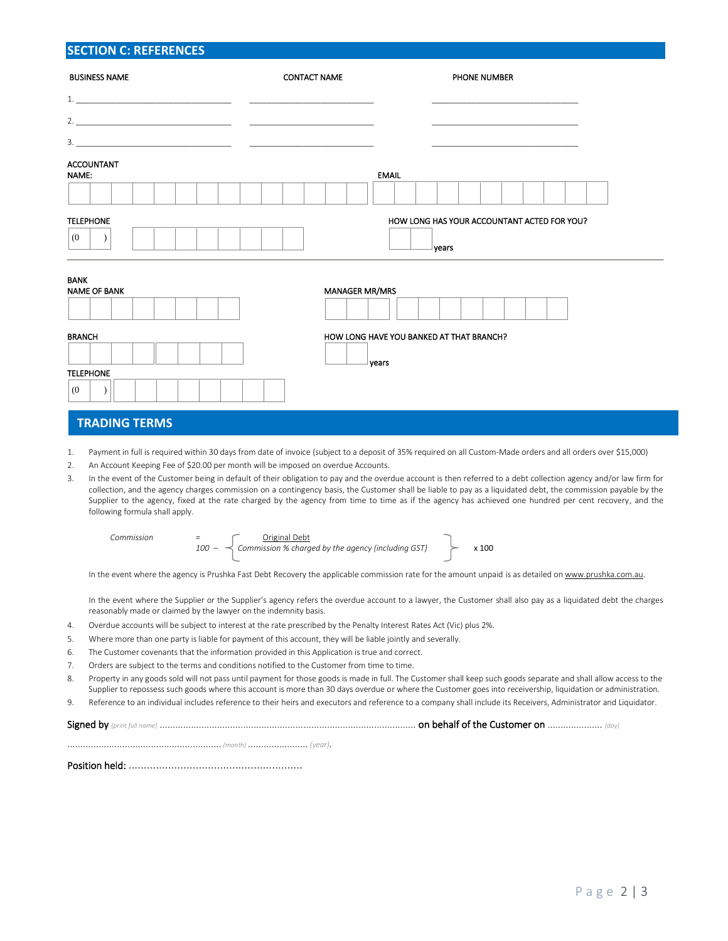## **SECTION C: REFERENCES**

| <b>BUSINESS NAME</b>               | <b>CONTACT NAME</b>   | <b>PHONE NUMBER</b>                               |
|------------------------------------|-----------------------|---------------------------------------------------|
|                                    |                       |                                                   |
|                                    |                       |                                                   |
|                                    |                       |                                                   |
| <b>ACCOUNTANT</b><br>NAME:         |                       | <b>EMAIL</b>                                      |
|                                    |                       |                                                   |
| <b>TELEPHONE</b>                   |                       | HOW LONG HAS YOUR ACCOUNTANT ACTED FOR YOU?       |
| (0)                                |                       | years                                             |
| <b>BANK</b><br><b>NAME OF BANK</b> | <b>MANAGER MR/MRS</b> |                                                   |
|                                    |                       |                                                   |
| <b>BRANCH</b>                      |                       | HOW LONG HAVE YOU BANKED AT THAT BRANCH?<br>years |
| <b>TELEPHONE</b>                   |                       |                                                   |
| (0)                                |                       |                                                   |

## **TRADING TERMS**

1. Payment in full is required within 30 days from date of invoice (subject to a deposit of 35% required on all Custom-Made orders and all orders over \$15,000)

- 2. An Account Keeping Fee of \$20.00 per month will be imposed on overdue Accounts.
- 3. In the event of the Customer being in default of their obligation to pay and the overdue account is then referred to a debt collection agency and/or law firm for collection, and the agency charges commission on a contingency basis, the Customer shall be liable to pay as a liquidated debt, the commission payable by the Supplier to the agency, fixed at the rate charged by the agency from time to time as if the agency has achieved one hundred per cent recovery, and the following formula shall apply.

| Commission<br>-<br>- |  | Original Debt<br>$100 - \preceq$ Commission % charged by the agency (including GST) |  | x 100 |
|----------------------|--|-------------------------------------------------------------------------------------|--|-------|
|----------------------|--|-------------------------------------------------------------------------------------|--|-------|

In the event where the agency is Prushka Fast Debt Recovery the applicable commission rate for the amount unpaid is as detailed o[n www.prushka.com.au.](http://www.prushka.com.au/)

In the event where the Supplier or the Supplier's agency refers the overdue account to a lawyer, the Customer shall also pay as a liquidated debt the charges reasonably made or claimed by the lawyer on the indemnity basis.

- 4. Overdue accounts will be subject to interest at the rate prescribed by the Penalty Interest Rates Act (Vic) plus 2%.
- 5. Where more than one party is liable for payment of this account, they will be liable jointly and severally.
- 6. The Customer covenants that the information provided in this Application is true and correct.
- 7. Orders are subject to the terms and conditions notified to the Customer from time to time.
- 8. Property in any goods sold will not pass until payment for those goods is made in full. The Customer shall keep such goods separate and shall allow access to the Supplier to repossess such goods where this account is more than 30 days overdue or where the Customer goes into receivership, liquidation or administration.

9. Reference to an individual includes reference to their heirs and executors and reference to a company shall include its Receivers, Administrator and Liquidator.

Signed by *(print full name)* .................................................................................................. on behalf of the Customer on ..................... *(day)*

........................................................... *(month)* ....................... *(year).*

Position held: .........................................................